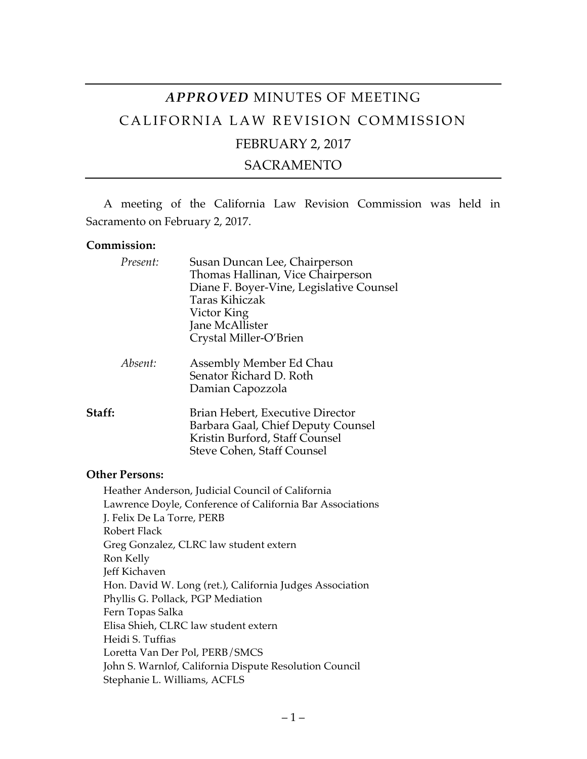# *APPROVED* MINUTES OF MEETING CALIFORNIA LAW REVISION COMMISSION FEBRUARY 2, 2017

# SACRAMENTO

A meeting of the California Law Revision Commission was held in Sacramento on February 2, 2017.

#### **Commission:**

|        | Present: | Susan Duncan Lee, Chairperson<br>Thomas Hallinan, Vice Chairperson<br>Diane F. Boyer-Vine, Legislative Counsel<br>Taras Kihiczak<br>Victor King<br>Jane McAllister<br>Crystal Miller-O'Brien |
|--------|----------|----------------------------------------------------------------------------------------------------------------------------------------------------------------------------------------------|
|        | Absent:  | Assembly Member Ed Chau<br>Senator Richard D. Roth<br>Damian Capozzola                                                                                                                       |
| Staff: |          | Brian Hebert, Executive Director<br>Barbara Gaal, Chief Deputy Counsel<br>Kristin Burford, Staff Counsel<br>Steve Cohen, Staff Counsel                                                       |

#### **Other Persons:**

Heather Anderson, Judicial Council of California Lawrence Doyle, Conference of California Bar Associations J. Felix De La Torre, PERB Robert Flack Greg Gonzalez, CLRC law student extern Ron Kelly Jeff Kichaven Hon. David W. Long (ret.), California Judges Association Phyllis G. Pollack, PGP Mediation Fern Topas Salka Elisa Shieh, CLRC law student extern Heidi S. Tuffias Loretta Van Der Pol, PERB/SMCS John S. Warnlof, California Dispute Resolution Council Stephanie L. Williams, ACFLS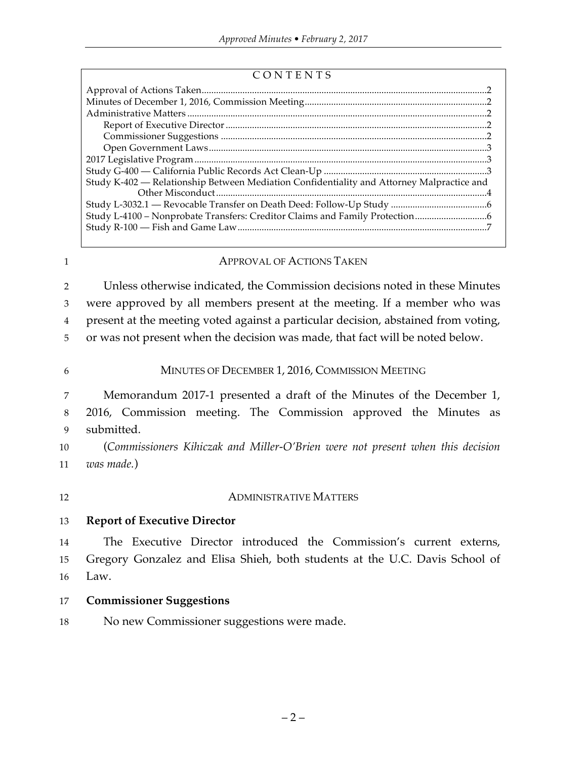| CONTENTS |  |
|----------|--|
|----------|--|

| Study K-402 - Relationship Between Mediation Confidentiality and Attorney Malpractice and |  |  |  |
|-------------------------------------------------------------------------------------------|--|--|--|
|                                                                                           |  |  |  |
|                                                                                           |  |  |  |
|                                                                                           |  |  |  |
|                                                                                           |  |  |  |
|                                                                                           |  |  |  |

## 1 **APPROVAL OF ACTIONS TAKEN**

 Unless otherwise indicated, the Commission decisions noted in these Minutes were approved by all members present at the meeting. If a member who was present at the meeting voted against a particular decision, abstained from voting, or was not present when the decision was made, that fact will be noted below.

#### 6 MINUTES OF DECEMBER 1, 2016, COMMISSION MEETING

7 Memorandum 2017-1 presented a draft of the Minutes of the December 1, 8 2016, Commission meeting. The Commission approved the Minutes as 9 submitted.

10 (*Commissioners Kihiczak and Miller-O'Brien were not present when this decision*  11 *was made.*)

#### 12 **ADMINISTRATIVE MATTERS**

#### 13 **Report of Executive Director**

14 The Executive Director introduced the Commission's current externs, 15 Gregory Gonzalez and Elisa Shieh, both students at the U.C. Davis School of 16 Law.

#### 17 **Commissioner Suggestions**

18 No new Commissioner suggestions were made.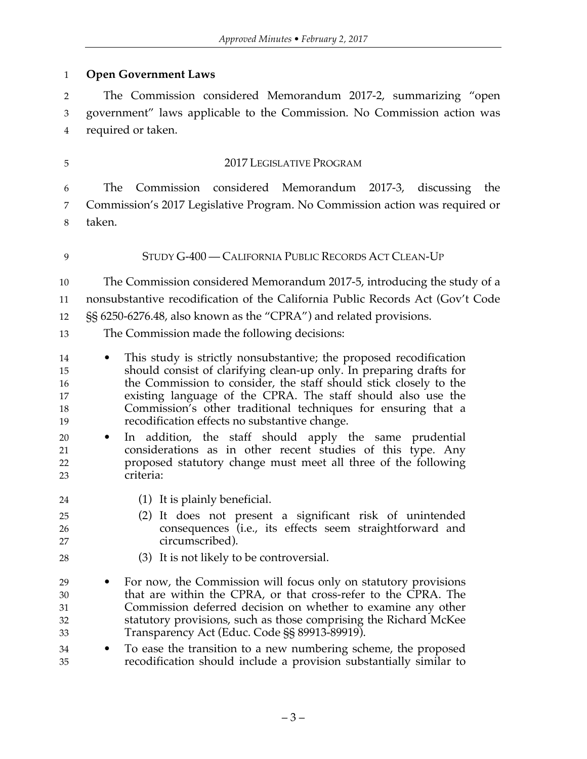**Open Government Laws**

 The Commission considered Memorandum 2017-2, summarizing "open government" laws applicable to the Commission. No Commission action was required or taken.

### 2017 LEGISLATIVE PROGRAM

 The Commission considered Memorandum 2017-3, discussing the Commission's 2017 Legislative Program. No Commission action was required or taken.

### STUDY G-400 — CALIFORNIA PUBLIC RECORDS ACT CLEAN-UP

 The Commission considered Memorandum 2017-5, introducing the study of a nonsubstantive recodification of the California Public Records Act (Gov't Code

§§ 6250-6276.48, also known as the "CPRA") and related provisions.

- The Commission made the following decisions:
- This study is strictly nonsubstantive; the proposed recodification should consist of clarifying clean-up only. In preparing drafts for the Commission to consider, the staff should stick closely to the existing language of the CPRA. The staff should also use the Commission's other traditional techniques for ensuring that a recodification effects no substantive change.
- In addition, the staff should apply the same prudential considerations as in other recent studies of this type. Any proposed statutory change must meet all three of the following criteria:
- (1) It is plainly beneficial.
- (2) It does not present a significant risk of unintended consequences (i.e., its effects seem straightforward and circumscribed).
- (3) It is not likely to be controversial.
- For now, the Commission will focus only on statutory provisions that are within the CPRA, or that cross-refer to the CPRA. The Commission deferred decision on whether to examine any other statutory provisions, such as those comprising the Richard McKee Transparency Act (Educ. Code §§ 89913-89919).
- To ease the transition to a new numbering scheme, the proposed recodification should include a provision substantially similar to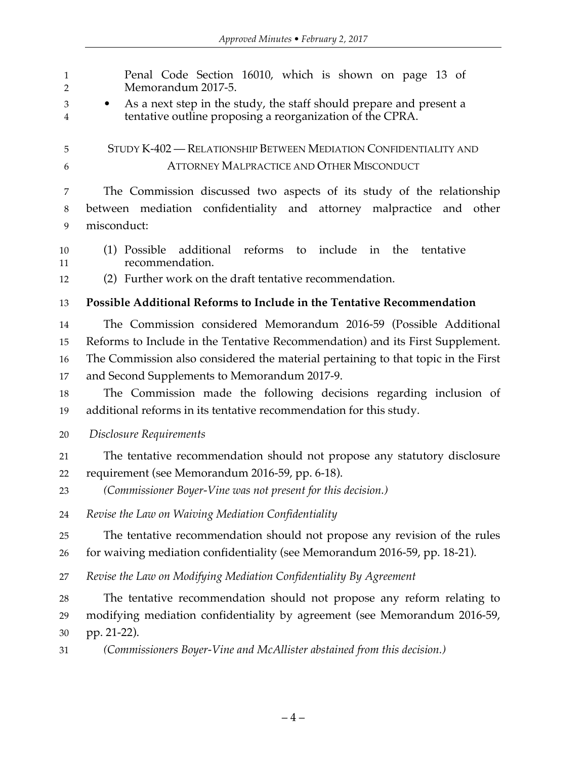| $\mathbf{1}$<br>$\overline{2}$ | Penal Code Section 16010, which is shown on page 13 of<br>Memorandum 2017-5.                                                                  |
|--------------------------------|-----------------------------------------------------------------------------------------------------------------------------------------------|
| 3<br>4                         | As a next step in the study, the staff should prepare and present a<br>$\bullet$<br>tentative outline proposing a reorganization of the CPRA. |
| 5                              | STUDY K-402 - RELATIONSHIP BETWEEN MEDIATION CONFIDENTIALITY AND                                                                              |
| 6                              | <b>ATTORNEY MALPRACTICE AND OTHER MISCONDUCT</b>                                                                                              |
| 7                              | The Commission discussed two aspects of its study of the relationship                                                                         |
| $\boldsymbol{8}$               | between mediation confidentiality and attorney malpractice and other                                                                          |
| 9                              | misconduct:                                                                                                                                   |
| 10<br>11                       | additional reforms to<br>include in the<br>(1) Possible<br>tentative<br>recommendation.                                                       |
| 12                             | (2) Further work on the draft tentative recommendation.                                                                                       |
| 13                             | Possible Additional Reforms to Include in the Tentative Recommendation                                                                        |
| 14                             | The Commission considered Memorandum 2016-59 (Possible Additional                                                                             |
| 15                             | Reforms to Include in the Tentative Recommendation) and its First Supplement.                                                                 |
| 16                             | The Commission also considered the material pertaining to that topic in the First                                                             |
| 17                             | and Second Supplements to Memorandum 2017-9.                                                                                                  |
| 18                             | The Commission made the following decisions regarding inclusion of                                                                            |
| 19                             | additional reforms in its tentative recommendation for this study.                                                                            |
| 20                             | Disclosure Requirements                                                                                                                       |
| 21                             | The tentative recommendation should not propose any statutory disclosure                                                                      |
| 22                             | requirement (see Memorandum 2016-59, pp. 6-18).                                                                                               |
| 23                             | (Commissioner Boyer-Vine was not present for this decision.)                                                                                  |
| 24                             | Revise the Law on Waiving Mediation Confidentiality                                                                                           |
| 25                             | The tentative recommendation should not propose any revision of the rules                                                                     |
| 26                             | for waiving mediation confidentiality (see Memorandum 2016-59, pp. 18-21).                                                                    |
| 27                             | Revise the Law on Modifying Mediation Confidentiality By Agreement                                                                            |
| 28                             | The tentative recommendation should not propose any reform relating to                                                                        |
| 29                             | modifying mediation confidentiality by agreement (see Memorandum 2016-59,                                                                     |
| 30                             | pp. 21-22).                                                                                                                                   |
| 31                             | (Commissioners Boyer-Vine and McAllister abstained from this decision.)                                                                       |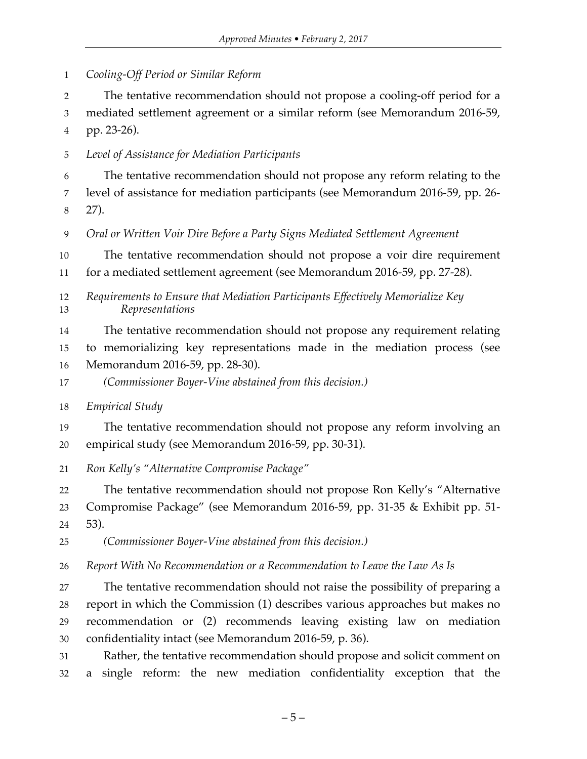*Cooling-Off Period or Similar Reform*

The tentative recommendation should not propose a cooling-off period for a

mediated settlement agreement or a similar reform (see Memorandum 2016-59,

pp. 23-26).

*Level of Assistance for Mediation Participants*

 The tentative recommendation should not propose any reform relating to the level of assistance for mediation participants (see Memorandum 2016-59, pp. 26- 27).

*Oral or Written Voir Dire Before a Party Signs Mediated Settlement Agreement*

The tentative recommendation should not propose a voir dire requirement

for a mediated settlement agreement (see Memorandum 2016-59, pp. 27-28).

 *Requirements to Ensure that Mediation Participants Effectively Memorialize Key Representations*

The tentative recommendation should not propose any requirement relating

to memorializing key representations made in the mediation process (see

Memorandum 2016-59, pp. 28-30).

*(Commissioner Boyer-Vine abstained from this decision.)*

*Empirical Study*

 The tentative recommendation should not propose any reform involving an empirical study (see Memorandum 2016-59, pp. 30-31).

*Ron Kelly's "Alternative Compromise Package"*

 The tentative recommendation should not propose Ron Kelly's "Alternative Compromise Package" (see Memorandum 2016-59, pp. 31-35 & Exhibit pp. 51-

53).

*(Commissioner Boyer-Vine abstained from this decision.)*

*Report With No Recommendation or a Recommendation to Leave the Law As Is*

 The tentative recommendation should not raise the possibility of preparing a report in which the Commission (1) describes various approaches but makes no recommendation or (2) recommends leaving existing law on mediation confidentiality intact (see Memorandum 2016-59, p. 36).

 Rather, the tentative recommendation should propose and solicit comment on a single reform: the new mediation confidentiality exception that the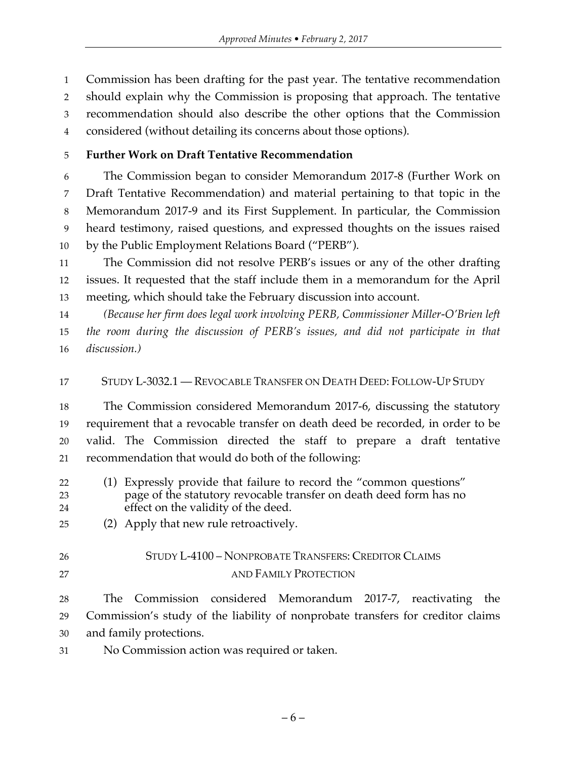Commission has been drafting for the past year. The tentative recommendation should explain why the Commission is proposing that approach. The tentative recommendation should also describe the other options that the Commission considered (without detailing its concerns about those options).

# **Further Work on Draft Tentative Recommendation**

 The Commission began to consider Memorandum 2017-8 (Further Work on Draft Tentative Recommendation) and material pertaining to that topic in the Memorandum 2017-9 and its First Supplement. In particular, the Commission heard testimony, raised questions, and expressed thoughts on the issues raised by the Public Employment Relations Board ("PERB").

 The Commission did not resolve PERB's issues or any of the other drafting issues. It requested that the staff include them in a memorandum for the April meeting, which should take the February discussion into account.

 *(Because her firm does legal work involving PERB, Commissioner Miller-O'Brien left the room during the discussion of PERB's issues, and did not participate in that discussion.)*

# STUDY L-3032.1 — REVOCABLE TRANSFER ON DEATH DEED: FOLLOW-UP STUDY

 The Commission considered Memorandum 2017-6, discussing the statutory requirement that a revocable transfer on death deed be recorded, in order to be valid. The Commission directed the staff to prepare a draft tentative recommendation that would do both of the following:

- (1) Expressly provide that failure to record the "common questions" page of the statutory revocable transfer on death deed form has no effect on the validity of the deed.
- (2) Apply that new rule retroactively.
- 

# STUDY L-4100 – NONPROBATE TRANSFERS: CREDITOR CLAIMS 27 AND FAMILY PROTECTION

 The Commission considered Memorandum 2017-7, reactivating the Commission's study of the liability of nonprobate transfers for creditor claims and family protections.

No Commission action was required or taken.